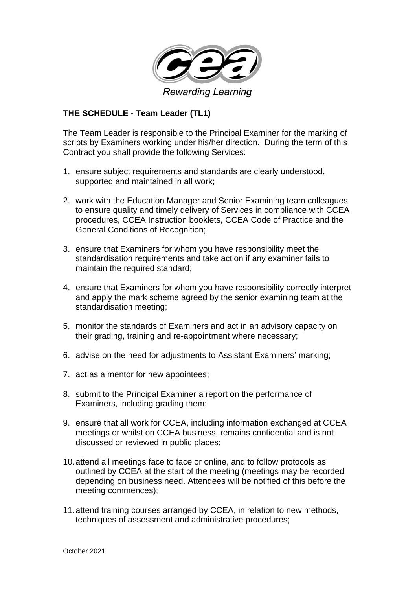

## **THE SCHEDULE - Team Leader (TL1)**

The Team Leader is responsible to the Principal Examiner for the marking of scripts by Examiners working under his/her direction. During the term of this Contract you shall provide the following Services:

- 1. ensure subject requirements and standards are clearly understood, supported and maintained in all work;
- 2. work with the Education Manager and Senior Examining team colleagues to ensure quality and timely delivery of Services in compliance with CCEA procedures, CCEA Instruction booklets, CCEA Code of Practice and the General Conditions of Recognition;
- 3. ensure that Examiners for whom you have responsibility meet the standardisation requirements and take action if any examiner fails to maintain the required standard;
- 4. ensure that Examiners for whom you have responsibility correctly interpret and apply the mark scheme agreed by the senior examining team at the standardisation meeting;
- 5. monitor the standards of Examiners and act in an advisory capacity on their grading, training and re-appointment where necessary;
- 6. advise on the need for adjustments to Assistant Examiners' marking;
- 7. act as a mentor for new appointees;
- 8. submit to the Principal Examiner a report on the performance of Examiners, including grading them;
- 9. ensure that all work for CCEA, including information exchanged at CCEA meetings or whilst on CCEA business, remains confidential and is not discussed or reviewed in public places;
- 10.attend all meetings face to face or online, and to follow protocols as outlined by CCEA at the start of the meeting (meetings may be recorded depending on business need. Attendees will be notified of this before the meeting commences);
- 11.attend training courses arranged by CCEA, in relation to new methods, techniques of assessment and administrative procedures;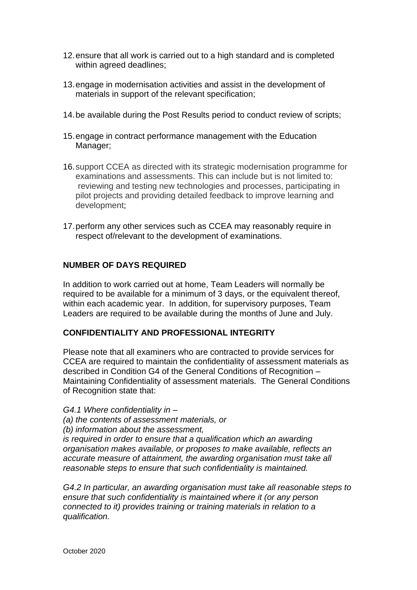- 12.ensure that all work is carried out to a high standard and is completed within agreed deadlines;
- 13.engage in modernisation activities and assist in the development of materials in support of the relevant specification;
- 14.be available during the Post Results period to conduct review of scripts;
- 15.engage in contract performance management with the Education Manager;
- 16.support CCEA as directed with its strategic modernisation programme for examinations and assessments. This can include but is not limited to: reviewing and testing new technologies and processes, participating in pilot projects and providing detailed feedback to improve learning and development;
- 17.perform any other services such as CCEA may reasonably require in respect of/relevant to the development of examinations.

## **NUMBER OF DAYS REQUIRED**

In addition to work carried out at home, Team Leaders will normally be required to be available for a minimum of 3 days, or the equivalent thereof, within each academic year. In addition, for supervisory purposes, Team Leaders are required to be available during the months of June and July.

## **CONFIDENTIALITY AND PROFESSIONAL INTEGRITY**

Please note that all examiners who are contracted to provide services for CCEA are required to maintain the confidentiality of assessment materials as described in Condition G4 of the General Conditions of Recognition – Maintaining Confidentiality of assessment materials. The General Conditions of Recognition state that:

*G4.1 Where confidentiality in –*

- *(a) the contents of assessment materials, or*
- *(b) information about the assessment,*

*is required in order to ensure that a qualification which an awarding organisation makes available, or proposes to make available, reflects an accurate measure of attainment, the awarding organisation must take all reasonable steps to ensure that such confidentiality is maintained.* 

*G4.2 In particular, an awarding organisation must take all reasonable steps to ensure that such confidentiality is maintained where it (or any person connected to it) provides training or training materials in relation to a qualification.*